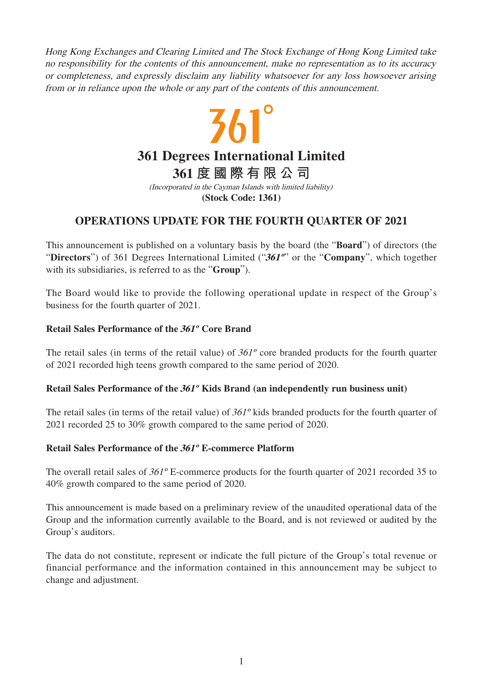Hong Kong Exchanges and Clearing Limited and The Stock Exchange of Hong Kong Limited take no responsibility for the contents of this announcement, make no representation as to its accuracy or completeness, and expressly disclaim any liability whatsoever for any loss howsoever arising from or in reliance upon the whole or any part of the contents of this announcement.

# $561^\circ$ **361 Degrees International Limited 361 度國際有限公司** (Incorporated in the Cayman Islands with limited liability)

**(Stock Code: 1361)**

## **OPERATIONS UPDATE FOR THE FOURTH QUARTER OF 2021**

This announcement is published on a voluntary basis by the board (the "**Board**") of directors (the "**Directors**") of 361 Degrees International Limited ("**361º**" or the "**Company**", which together with its subsidiaries, is referred to as the "**Group**").

The Board would like to provide the following operational update in respect of the Group's business for the fourth quarter of 2021.

### **Retail Sales Performance of the 361º Core Brand**

The retail sales (in terms of the retail value) of 361º core branded products for the fourth quarter of 2021 recorded high teens growth compared to the same period of 2020.

### **Retail Sales Performance of the 361º Kids Brand (an independently run business unit)**

The retail sales (in terms of the retail value) of 361º kids branded products for the fourth quarter of 2021 recorded 25 to 30% growth compared to the same period of 2020.

### **Retail Sales Performance of the 361º E-commerce Platform**

The overall retail sales of  $361^{\circ}$  E-commerce products for the fourth quarter of 2021 recorded 35 to 40% growth compared to the same period of 2020.

This announcement is made based on a preliminary review of the unaudited operational data of the Group and the information currently available to the Board, and is not reviewed or audited by the Group's auditors.

The data do not constitute, represent or indicate the full picture of the Group's total revenue or financial performance and the information contained in this announcement may be subject to change and adjustment.